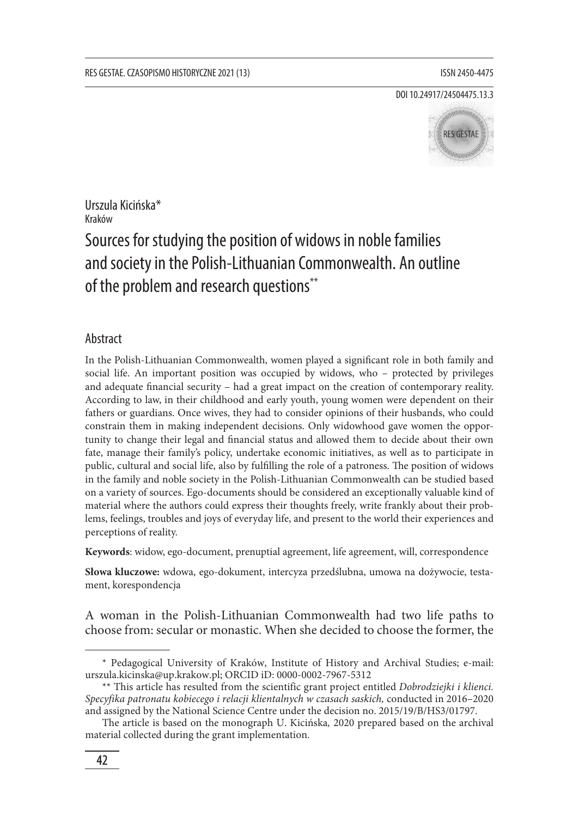DOI 10.24917/24504475.13.3



Urszula Kicińska\* Kraków

# Sources for studying the position of widows in noble families and society in the Polish-Lithuanian Commonwealth. An outline of the problem and research questions\*\*

## Abstract

In the Polish-Lithuanian Commonwealth, women played a significant role in both family and social life. An important position was occupied by widows, who – protected by privileges and adequate financial security – had a great impact on the creation of contemporary reality. According to law, in their childhood and early youth, young women were dependent on their fathers or guardians. Once wives, they had to consider opinions of their husbands, who could constrain them in making independent decisions. Only widowhood gave women the opportunity to change their legal and financial status and allowed them to decide about their own fate, manage their family's policy, undertake economic initiatives, as well as to participate in public, cultural and social life, also by fulfilling the role of a patroness. The position of widows in the family and noble society in the Polish-Lithuanian Commonwealth can be studied based on a variety of sources. Ego-documents should be considered an exceptionally valuable kind of material where the authors could express their thoughts freely, write frankly about their problems, feelings, troubles and joys of everyday life, and present to the world their experiences and perceptions of reality.

**Keywords**: widow, ego-document, prenuptial agreement, life agreement, will, correspondence

**Słowa kluczowe:** wdowa, ego-dokument, intercyza przedślubna, umowa na dożywocie, testament, korespondencja

A woman in the Polish-Lithuanian Commonwealth had two life paths to choose from: secular or monastic. When she decided to choose the former, the

<sup>\*</sup> Pedagogical University of Kraków, Institute of History and Archival Studies; e-mail: urszula.kicinska@up.krakow.pl; ORCID iD: 0000-0002-7967-5312

<sup>\*\*</sup> This article has resulted from the scientific grant project entitled *Dobrodziejki i klienci. Specyfika patronatu kobiecego i relacji klientalnych w czasach saskich,* conducted in 2016–2020 and assigned by the National Science Centre under the decision no. 2015/19/B/HS3/01797.

The article is based on the monograph U. Kicińska*,* 2020 prepared based on the archival material collected during the grant implementation.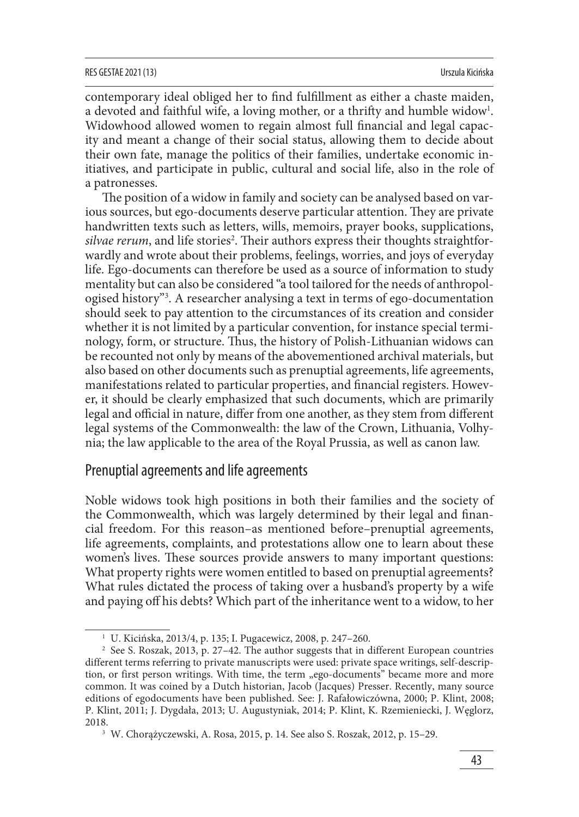contemporary ideal obliged her to find fulfillment as either a chaste maiden, a devoted and faithful wife, a loving mother, or a thrifty and humble widow<sup>1</sup>. Widowhood allowed women to regain almost full financial and legal capacity and meant a change of their social status, allowing them to decide about their own fate, manage the politics of their families, undertake economic initiatives, and participate in public, cultural and social life, also in the role of a patronesses.

The position of a widow in family and society can be analysed based on various sources, but ego-documents deserve particular attention. They are private handwritten texts such as letters, wills, memoirs, prayer books, supplications, *silvae rerum*, and life stories<sup>2</sup>. Their authors express their thoughts straightforwardly and wrote about their problems, feelings, worries, and joys of everyday life. Ego-documents can therefore be used as a source of information to study mentality but can also be considered "a tool tailored for the needs of anthropologised history"3 . A researcher analysing a text in terms of ego-documentation should seek to pay attention to the circumstances of its creation and consider whether it is not limited by a particular convention, for instance special terminology, form, or structure. Thus, the history of Polish-Lithuanian widows can be recounted not only by means of the abovementioned archival materials, but also based on other documents such as prenuptial agreements, life agreements, manifestations related to particular properties, and financial registers. However, it should be clearly emphasized that such documents, which are primarily legal and official in nature, differ from one another, as they stem from different legal systems of the Commonwealth: the law of the Crown, Lithuania, Volhynia; the law applicable to the area of the Royal Prussia, as well as canon law.

# Prenuptial agreements and life agreements

Noble widows took high positions in both their families and the society of the Commonwealth, which was largely determined by their legal and financial freedom. For this reason–as mentioned before–prenuptial agreements, life agreements, complaints, and protestations allow one to learn about these women's lives. These sources provide answers to many important questions: What property rights were women entitled to based on prenuptial agreements? What rules dictated the process of taking over a husband's property by a wife and paying off his debts? Which part of the inheritance went to a widow, to her

<sup>1</sup> U. Kicińska, 2013/4, p. 135; I. Pugacewicz, 2008, p. 247–260.

<sup>&</sup>lt;sup>2</sup> See S. Roszak, 2013, p. 27-42. The author suggests that in different European countries different terms referring to private manuscripts were used: private space writings, self-description, or first person writings. With time, the term "ego-documents" became more and more common. It was coined by a Dutch historian, Jacob (Jacques) Presser. Recently, many source editions of egodocuments have been published. See: J. Rafałowiczówna, 2000; P. Klint, 2008; P. Klint, 2011; J. Dygdała, 2013; U. Augustyniak, 2014; P. Klint, K. Rzemieniecki, J. Węglorz, 2018.

<sup>3</sup> W. Chorążyczewski, A. Rosa, 2015, p. 14. See also S. Roszak, 2012, p. 15–29.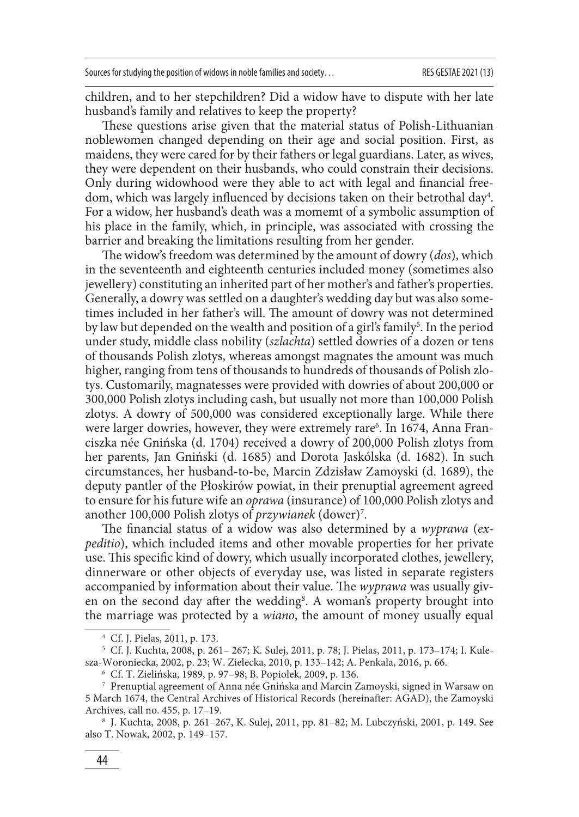children, and to her stepchildren? Did a widow have to dispute with her late husband's family and relatives to keep the property?

These questions arise given that the material status of Polish-Lithuanian noblewomen changed depending on their age and social position. First, as maidens, they were cared for by their fathers or legal guardians. Later, as wives, they were dependent on their husbands, who could constrain their decisions. Only during widowhood were they able to act with legal and financial freedom, which was largely influenced by decisions taken on their betrothal day $^4\!$ . For a widow, her husband's death was a momemt of a symbolic assumption of his place in the family, which, in principle, was associated with crossing the barrier and breaking the limitations resulting from her gender.

The widow's freedom was determined by the amount of dowry (*dos*), which in the seventeenth and eighteenth centuries included money (sometimes also jewellery) constituting an inherited part of her mother's and father's properties. Generally, a dowry was settled on a daughter's wedding day but was also sometimes included in her father's will. The amount of dowry was not determined by law but depended on the wealth and position of a girl's family<sup>5</sup>. In the period under study, middle class nobility (*szlachta*) settled dowries of a dozen or tens of thousands Polish zlotys, whereas amongst magnates the amount was much higher, ranging from tens of thousands to hundreds of thousands of Polish zlotys. Customarily, magnatesses were provided with dowries of about 200,000 or 300,000 Polish zlotys including cash, but usually not more than 100,000 Polish zlotys. A dowry of 500,000 was considered exceptionally large. While there were larger dowries, however, they were extremely rare<sup>6</sup>. In 1674, Anna Franciszka née Gnińska (d. 1704) received a dowry of 200,000 Polish zlotys from her parents, Jan Gniński (d. 1685) and Dorota Jaskólska (d. 1682). In such circumstances, her husband-to-be, Marcin Zdzisław Zamoyski (d. 1689), the deputy pantler of the Płoskirów powiat, in their prenuptial agreement agreed to ensure for his future wife an *oprawa* (insurance) of 100,000 Polish zlotys and another 100,000 Polish zlotys of *przywianek* (dower)7 .

The financial status of a widow was also determined by a *wyprawa* (ex*peditio*), which included items and other movable properties for her private use. This specific kind of dowry, which usually incorporated clothes, jewellery, dinnerware or other objects of everyday use, was listed in separate registers accompanied by information about their value. The *wyprawa* was usually given on the second day after the wedding<sup>8</sup>. A woman's property brought into the marriage was protected by a *wiano*, the amount of money usually equal

<sup>4</sup> Cf. J. Pielas, 2011, p. 173.

<sup>5</sup> Cf. J. Kuchta, 2008, p. 261– 267; K. Sulej, 2011, p. 78; J. Pielas, 2011, p. 173–174; I. Kulesza-Woroniecka, 2002, p. 23; W. Zielecka, 2010, p. 133–142; A. Penkała, 2016, p. 66.

<sup>6</sup> Cf. T. Zielińska, 1989, p. 97–98; B. Popiołek, 2009, p. 136.

<sup>7</sup> Prenuptial agreement of Anna née Gnińska and Marcin Zamoyski, signed in Warsaw on 5 March 1674, the Central Archives of Historical Records (hereinafter: AGAD), the Zamoyski Archives, call no. 455, p. 17–19.

<sup>8</sup> J. Kuchta, 2008, p. 261–267, K. Sulej, 2011, pp. 81–82; M. Lubczyński, 2001, p. 149. See also T. Nowak, 2002, p. 149–157.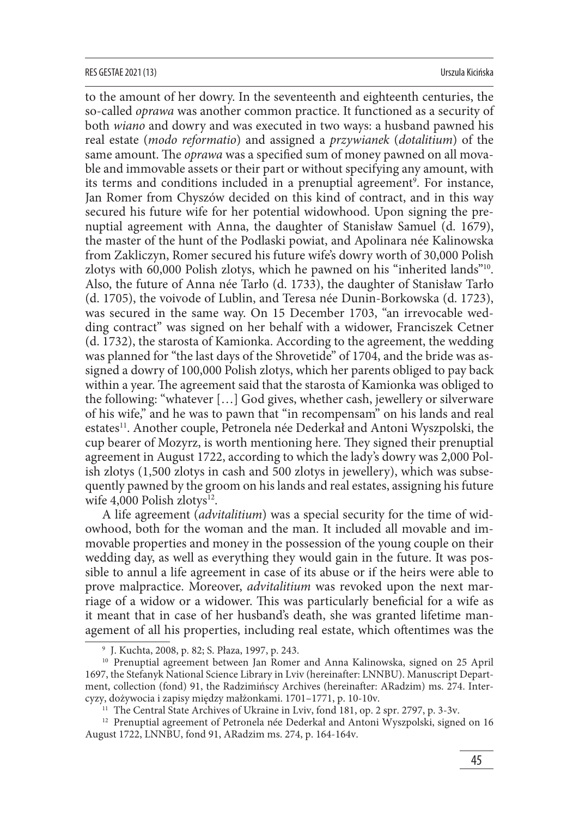#### RES GESTAE 2021 (13) Urszula Kicińska

to the amount of her dowry. In the seventeenth and eighteenth centuries, the so-called *oprawa* was another common practice. It functioned as a security of both *wiano* and dowry and was executed in two ways: a husband pawned his real estate (*modo reformatio*) and assigned a *przywianek* (*dotalitium*) of the same amount. The *oprawa* was a specified sum of money pawned on all movable and immovable assets or their part or without specifying any amount, with its terms and conditions included in a prenuptial agreement<sup>9</sup>. For instance, Jan Romer from Chyszów decided on this kind of contract, and in this way secured his future wife for her potential widowhood. Upon signing the prenuptial agreement with Anna, the daughter of Stanisław Samuel (d. 1679), the master of the hunt of the Podlaski powiat, and Apolinara née Kalinowska from Zakliczyn, Romer secured his future wife's dowry worth of 30,000 Polish zlotys with 60,000 Polish zlotys, which he pawned on his "inherited lands"10. Also, the future of Anna née Tarło (d. 1733), the daughter of Stanisław Tarło (d. 1705), the voivode of Lublin, and Teresa née Dunin-Borkowska (d. 1723), was secured in the same way. On 15 December 1703, "an irrevocable wedding contract" was signed on her behalf with a widower, Franciszek Cetner (d. 1732), the starosta of Kamionka. According to the agreement, the wedding was planned for "the last days of the Shrovetide" of 1704, and the bride was assigned a dowry of 100,000 Polish zlotys, which her parents obliged to pay back within a year. The agreement said that the starosta of Kamionka was obliged to the following: "whatever […] God gives, whether cash, jewellery or silverware of his wife," and he was to pawn that "in recompensam" on his lands and real estates<sup>11</sup>. Another couple, Petronela née Dederkał and Antoni Wyszpolski, the cup bearer of Mozyrz, is worth mentioning here. They signed their prenuptial agreement in August 1722, according to which the lady's dowry was 2,000 Polish zlotys (1,500 zlotys in cash and 500 zlotys in jewellery), which was subsequently pawned by the groom on his lands and real estates, assigning his future wife 4,000 Polish zlotys $12$ .

A life agreement (*advitalitium*) was a special security for the time of widowhood, both for the woman and the man. It included all movable and immovable properties and money in the possession of the young couple on their wedding day, as well as everything they would gain in the future. It was possible to annul a life agreement in case of its abuse or if the heirs were able to prove malpractice. Moreover, *advitalitium* was revoked upon the next marriage of a widow or a widower. This was particularly beneficial for a wife as it meant that in case of her husband's death, she was granted lifetime management of all his properties, including real estate, which oftentimes was the

<sup>9</sup> J. Kuchta, 2008, p. 82; S. Płaza, 1997, p. 243.

<sup>&</sup>lt;sup>10</sup> Prenuptial agreement between Jan Romer and Anna Kalinowska, signed on 25 April 1697, the Stefanyk National Science Library in Lviv (hereinafter: LNNBU). Manuscript Department, collection (fond) 91, the Radzimińscy Archives (hereinafter: ARadzim) ms. 274. Intercyzy, dożywocia i zapisy między małżonkami. 1701–1771, p. 10-10v.

<sup>&</sup>lt;sup>11</sup> The Central State Archives of Ukraine in Lviv, fond 181, op. 2 spr. 2797, p. 3-3v.

<sup>&</sup>lt;sup>12</sup> Prenuptial agreement of Petronela née Dederkał and Antoni Wyszpolski, signed on 16 August 1722, LNNBU, fond 91, ARadzim ms. 274, p. 164-164v.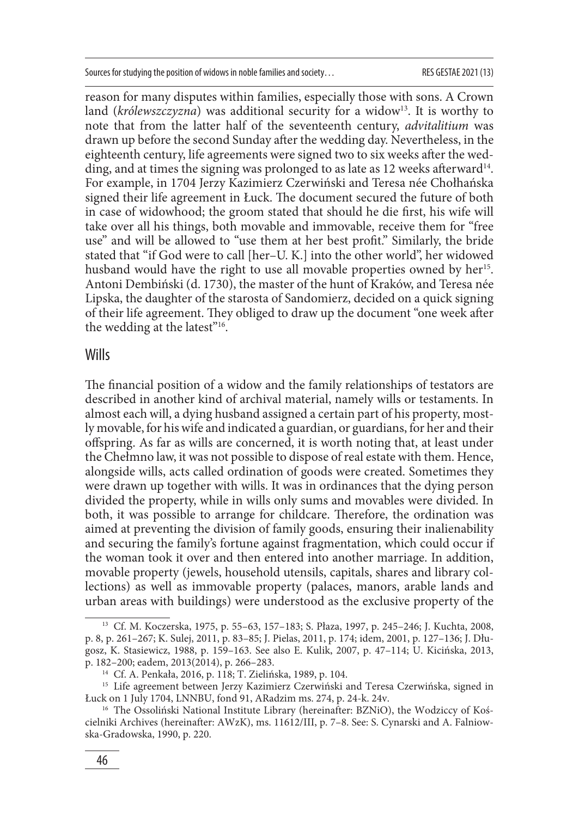reason for many disputes within families, especially those with sons. A Crown land (*królewszczyzna*) was additional security for a widow<sup>13</sup>. It is worthy to note that from the latter half of the seventeenth century, *advitalitium* was drawn up before the second Sunday after the wedding day. Nevertheless, in the eighteenth century, life agreements were signed two to six weeks after the wedding, and at times the signing was prolonged to as late as 12 weeks afterward<sup>14</sup>. For example, in 1704 Jerzy Kazimierz Czerwiński and Teresa née Chołhańska signed their life agreement in Łuck. The document secured the future of both in case of widowhood; the groom stated that should he die first, his wife will take over all his things, both movable and immovable, receive them for "free use" and will be allowed to "use them at her best profit." Similarly, the bride stated that "if God were to call [her–U. K.] into the other world", her widowed husband would have the right to use all movable properties owned by her<sup>15</sup>. Antoni Dembiński (d. 1730), the master of the hunt of Kraków, and Teresa née Lipska, the daughter of the starosta of Sandomierz, decided on a quick signing of their life agreement. They obliged to draw up the document "one week after the wedding at the latest"<sup>16</sup>.

### **Wills**

The financial position of a widow and the family relationships of testators are described in another kind of archival material, namely wills or testaments. In almost each will, a dying husband assigned a certain part of his property, mostly movable, for his wife and indicated a guardian, or guardians, for her and their offspring. As far as wills are concerned, it is worth noting that, at least under the Chełmno law, it was not possible to dispose of real estate with them. Hence, alongside wills, acts called ordination of goods were created. Sometimes they were drawn up together with wills. It was in ordinances that the dying person divided the property, while in wills only sums and movables were divided. In both, it was possible to arrange for childcare. Therefore, the ordination was aimed at preventing the division of family goods, ensuring their inalienability and securing the family's fortune against fragmentation, which could occur if the woman took it over and then entered into another marriage. In addition, movable property (jewels, household utensils, capitals, shares and library collections) as well as immovable property (palaces, manors, arable lands and urban areas with buildings) were understood as the exclusive property of the

<sup>13</sup> Cf. M. Koczerska, 1975, p. 55–63, 157–183; S. Płaza, 1997, p. 245–246; J. Kuchta, 2008, p. 8, p. 261–267; K. Sulej, 2011, p. 83–85; J. Pielas, 2011, p. 174; idem, 2001, p. 127–136; J. Długosz, K. Stasiewicz, 1988, p. 159–163. See also E. Kulik, 2007, p. 47–114; U. Kicińska, 2013, p. 182–200; eadem, 2013(2014), p. 266–283.

<sup>14</sup> Cf. A. Penkała, 2016, p. 118; T. Zielińska, 1989, p. 104.

<sup>&</sup>lt;sup>15</sup> Life agreement between Jerzy Kazimierz Czerwiński and Teresa Czerwińska, signed in Łuck on 1 July 1704, LNNBU, fond 91, ARadzim ms. 274, p. 24-k. 24v.

<sup>&</sup>lt;sup>16</sup> The Ossoliński National Institute Library (hereinafter: BZNiO), the Wodziccy of Kościelniki Archives (hereinafter: AWzK), ms. 11612/III, p. 7–8. See: S. Cynarski and A. Falniowska-Gradowska, 1990, p. 220.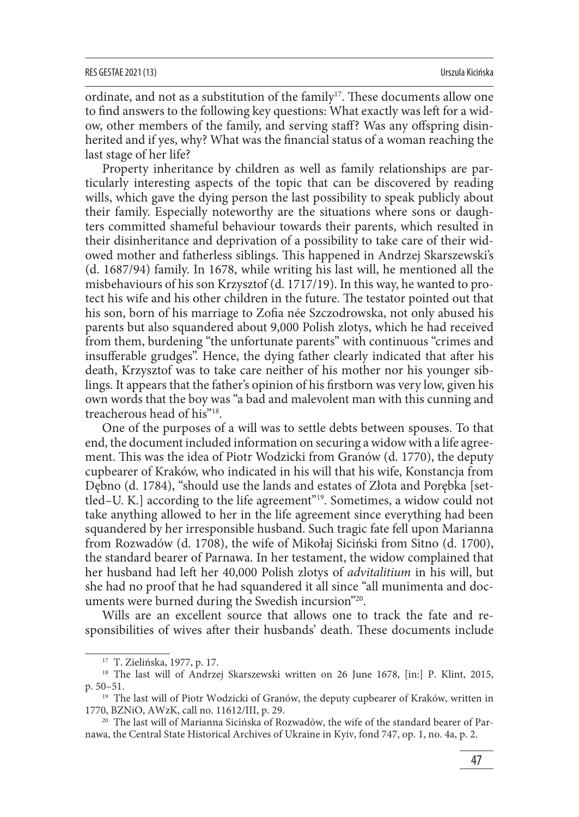ordinate, and not as a substitution of the family<sup>17</sup>. These documents allow one to find answers to the following key questions: What exactly was left for a widow, other members of the family, and serving staff? Was any offspring disinherited and if yes, why? What was the financial status of a woman reaching the last stage of her life?

Property inheritance by children as well as family relationships are particularly interesting aspects of the topic that can be discovered by reading wills, which gave the dying person the last possibility to speak publicly about their family. Especially noteworthy are the situations where sons or daughters committed shameful behaviour towards their parents, which resulted in their disinheritance and deprivation of a possibility to take care of their widowed mother and fatherless siblings. This happened in Andrzej Skarszewski's (d. 1687/94) family. In 1678, while writing his last will, he mentioned all the misbehaviours of his son Krzysztof (d. 1717/19). In this way, he wanted to protect his wife and his other children in the future. The testator pointed out that his son, born of his marriage to Zofia née Szczodrowska, not only abused his parents but also squandered about 9,000 Polish zlotys, which he had received from them, burdening "the unfortunate parents" with continuous "crimes and insufferable grudges". Hence, the dying father clearly indicated that after his death, Krzysztof was to take care neither of his mother nor his younger siblings. It appears that the father's opinion of his firstborn was very low, given his own words that the boy was "a bad and malevolent man with this cunning and treacherous head of his"18.

One of the purposes of a will was to settle debts between spouses. To that end, the document included information on securing a widow with a life agreement. This was the idea of Piotr Wodzicki from Granów (d. 1770), the deputy cupbearer of Kraków, who indicated in his will that his wife, Konstancja from Dębno (d. 1784), "should use the lands and estates of Złota and Porębka [settled–U. K.] according to the life agreement"19. Sometimes, a widow could not take anything allowed to her in the life agreement since everything had been squandered by her irresponsible husband. Such tragic fate fell upon Marianna from Rozwadów (d. 1708), the wife of Mikołaj Siciński from Sitno (d. 1700), the standard bearer of Parnawa. In her testament, the widow complained that her husband had left her 40,000 Polish zlotys of *advitalitium* in his will, but she had no proof that he had squandered it all since "all munimenta and documents were burned during the Swedish incursion"20.

Wills are an excellent source that allows one to track the fate and responsibilities of wives after their husbands' death. These documents include

<sup>17</sup> T. Zielińska, 1977, p. 17.

<sup>&</sup>lt;sup>18</sup> The last will of Andrzej Skarszewski written on 26 June 1678, [in:] P. Klint, 2015, p. 50–51.

<sup>&</sup>lt;sup>19</sup> The last will of Piotr Wodzicki of Granów, the deputy cupbearer of Kraków, written in 1770, BZNiO, AWzK, call no. 11612/III, p. 29.

<sup>20</sup> The last will of Marianna Sicińska of Rozwadów, the wife of the standard bearer of Parnawa, the Central State Historical Archives of Ukraine in Kyiv, fond 747, op. 1, no. 4a, p. 2.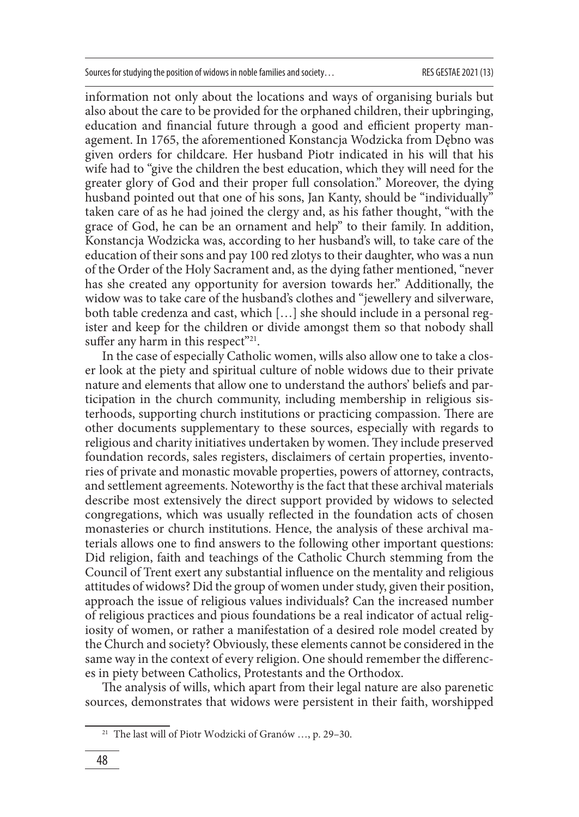information not only about the locations and ways of organising burials but also about the care to be provided for the orphaned children, their upbringing, education and financial future through a good and efficient property management. In 1765, the aforementioned Konstancja Wodzicka from Dębno was given orders for childcare. Her husband Piotr indicated in his will that his wife had to "give the children the best education, which they will need for the greater glory of God and their proper full consolation." Moreover, the dying husband pointed out that one of his sons, Jan Kanty, should be "individually" taken care of as he had joined the clergy and, as his father thought, "with the grace of God, he can be an ornament and help" to their family. In addition, Konstancja Wodzicka was, according to her husband's will, to take care of the education of their sons and pay 100 red zlotys to their daughter, who was a nun of the Order of the Holy Sacrament and, as the dying father mentioned, "never has she created any opportunity for aversion towards her." Additionally, the widow was to take care of the husband's clothes and "jewellery and silverware, both table credenza and cast, which […] she should include in a personal register and keep for the children or divide amongst them so that nobody shall suffer any harm in this respect"<sup>21</sup>.

In the case of especially Catholic women, wills also allow one to take a closer look at the piety and spiritual culture of noble widows due to their private nature and elements that allow one to understand the authors' beliefs and participation in the church community, including membership in religious sisterhoods, supporting church institutions or practicing compassion. There are other documents supplementary to these sources, especially with regards to religious and charity initiatives undertaken by women. They include preserved foundation records, sales registers, disclaimers of certain properties, inventories of private and monastic movable properties, powers of attorney, contracts, and settlement agreements. Noteworthy is the fact that these archival materials describe most extensively the direct support provided by widows to selected congregations, which was usually reflected in the foundation acts of chosen monasteries or church institutions. Hence, the analysis of these archival materials allows one to find answers to the following other important questions: Did religion, faith and teachings of the Catholic Church stemming from the Council of Trent exert any substantial influence on the mentality and religious attitudes of widows? Did the group of women under study, given their position, approach the issue of religious values individuals? Can the increased number of religious practices and pious foundations be a real indicator of actual religiosity of women, or rather a manifestation of a desired role model created by the Church and society? Obviously, these elements cannot be considered in the same way in the context of every religion. One should remember the differences in piety between Catholics, Protestants and the Orthodox.

The analysis of wills, which apart from their legal nature are also parenetic sources, demonstrates that widows were persistent in their faith, worshipped

<sup>21</sup> The last will of Piotr Wodzicki of Granów …, p. 29–30.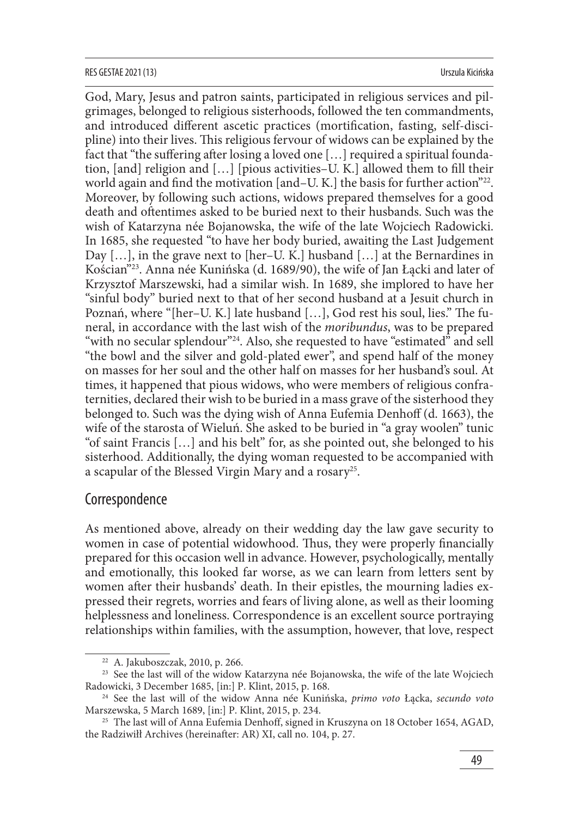#### RES GESTAE 2021 (13) Urszula Kicińska

God, Mary, Jesus and patron saints, participated in religious services and pilgrimages, belonged to religious sisterhoods, followed the ten commandments, and introduced different ascetic practices (mortification, fasting, self-discipline) into their lives. This religious fervour of widows can be explained by the fact that "the suffering after losing a loved one  $[...]$  required a spiritual foundation, [and] religion and  $[...]$  [pious activities–U. K.] allowed them to fill their world again and find the motivation [and–U. K.] the basis for further action $"^{22}$ . Moreover, by following such actions, widows prepared themselves for a good death and oftentimes asked to be buried next to their husbands. Such was the wish of Katarzyna née Bojanowska, the wife of the late Wojciech Radowicki. In 1685, she requested "to have her body buried, awaiting the Last Judgement Day [...], in the grave next to [her–U. K.] husband [...] at the Bernardines in Kościan"23. Anna née Kunińska (d. 1689/90), the wife of Jan Łącki and later of Krzysztof Marszewski, had a similar wish. In 1689, she implored to have her "sinful body" buried next to that of her second husband at a Jesuit church in Poznań, where "[her–U. K.] late husband [...], God rest his soul, lies." The funeral, in accordance with the last wish of the *moribundus*, was to be prepared "with no secular splendour"<sup>24</sup>. Also, she requested to have "estimated" and sell "the bowl and the silver and gold-plated ewer", and spend half of the money on masses for her soul and the other half on masses for her husband's soul. At times, it happened that pious widows, who were members of religious confraternities, declared their wish to be buried in a mass grave of the sisterhood they belonged to. Such was the dying wish of Anna Eufemia Denhoff (d. 1663), the wife of the starosta of Wieluń. She asked to be buried in "a gray woolen" tunic "of saint Francis […] and his belt" for, as she pointed out, she belonged to his sisterhood. Additionally, the dying woman requested to be accompanied with a scapular of the Blessed Virgin Mary and a rosary25.

# **Correspondence**

As mentioned above, already on their wedding day the law gave security to women in case of potential widowhood. Thus, they were properly financially prepared for this occasion well in advance. However, psychologically, mentally and emotionally, this looked far worse, as we can learn from letters sent by women after their husbands' death. In their epistles, the mourning ladies expressed their regrets, worries and fears of living alone, as well as their looming helplessness and loneliness. Correspondence is an excellent source portraying relationships within families, with the assumption, however, that love, respect

<sup>22</sup> A. Jakuboszczak, 2010, p. 266.

<sup>&</sup>lt;sup>23</sup> See the last will of the widow Katarzyna née Bojanowska, the wife of the late Wojciech Radowicki, 3 December 1685, [in:] P. Klint, 2015, p. 168.

<sup>24</sup> See the last will of the widow Anna née Kunińska, *primo voto* Łącka, *secundo voto* Marszewska, 5 March 1689, [in:] P. Klint, 2015, p. 234.

<sup>&</sup>lt;sup>25</sup> The last will of Anna Eufemia Denhoff, signed in Kruszyna on 18 October 1654, AGAD, the Radziwiłł Archives (hereinafter: AR) XI, call no. 104, p. 27.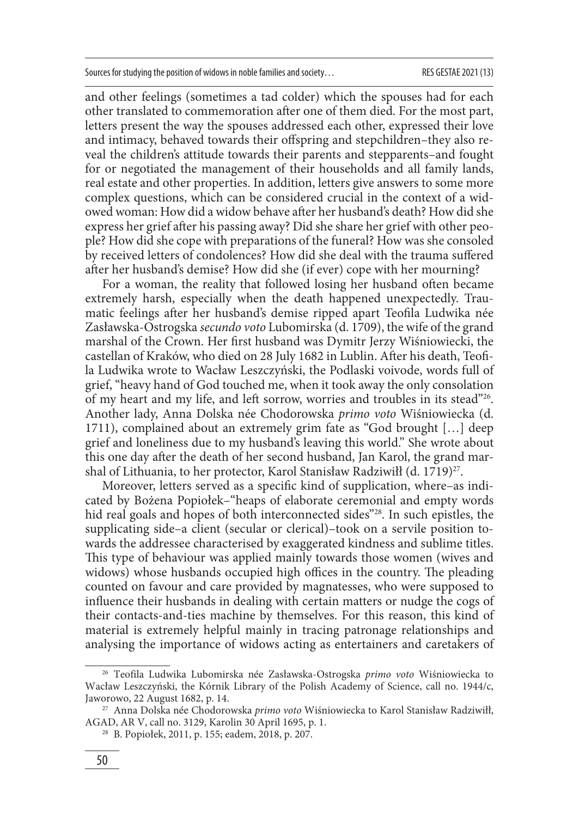and other feelings (sometimes a tad colder) which the spouses had for each other translated to commemoration after one of them died. For the most part, letters present the way the spouses addressed each other, expressed their love and intimacy, behaved towards their offspring and stepchildren–they also reveal the children's attitude towards their parents and stepparents–and fought for or negotiated the management of their households and all family lands, real estate and other properties. In addition, letters give answers to some more complex questions, which can be considered crucial in the context of a widowed woman: How did a widow behave after her husband's death? How did she express her grief after his passing away? Did she share her grief with other people? How did she cope with preparations of the funeral? How was she consoled by received letters of condolences? How did she deal with the trauma suffered after her husband's demise? How did she (if ever) cope with her mourning?

For a woman, the reality that followed losing her husband often became extremely harsh, especially when the death happened unexpectedly. Traumatic feelings after her husband's demise ripped apart Teofila Ludwika née Zasławska-Ostrogska *secundo voto* Lubomirska (d. 1709), the wife of the grand marshal of the Crown. Her first husband was Dymitr Jerzy Wiśniowiecki, the castellan of Kraków, who died on 28 July 1682 in Lublin. After his death, Teofila Ludwika wrote to Wacław Leszczyński, the Podlaski voivode, words full of grief, "heavy hand of God touched me, when it took away the only consolation of my heart and my life, and left sorrow, worries and troubles in its stead"26. Another lady, Anna Dolska née Chodorowska *primo voto* Wiśniowiecka (d. 1711), complained about an extremely grim fate as "God brought […] deep grief and loneliness due to my husband's leaving this world." She wrote about this one day after the death of her second husband, Jan Karol, the grand marshal of Lithuania, to her protector, Karol Stanisław Radziwiłł (d. 1719)<sup>27</sup>.

Moreover, letters served as a specific kind of supplication, where-as indicated by Bożena Popiołek–"heaps of elaborate ceremonial and empty words hid real goals and hopes of both interconnected sides"<sup>28</sup>. In such epistles, the supplicating side–a client (secular or clerical)–took on a servile position towards the addressee characterised by exaggerated kindness and sublime titles. This type of behaviour was applied mainly towards those women (wives and widows) whose husbands occupied high offices in the country. The pleading counted on favour and care provided by magnatesses, who were supposed to influence their husbands in dealing with certain matters or nudge the cogs of their contacts-and-ties machine by themselves. For this reason, this kind of material is extremely helpful mainly in tracing patronage relationships and analysing the importance of widows acting as entertainers and caretakers of

<sup>26</sup> Teofila Ludwika Lubomirska née Zasławska-Ostrogska *primo voto* Wiśniowiecka to Wacław Leszczyński, the Kórnik Library of the Polish Academy of Science, call no. 1944/c, Jaworowo, 22 August 1682, p. 14.

<sup>27</sup> Anna Dolska née Chodorowska *primo voto* Wiśniowiecka to Karol Stanisław Radziwiłł, AGAD, AR V, call no. 3129, Karolin 30 April 1695, p. 1.

<sup>28</sup> B. Popiołek, 2011, p. 155; eadem, 2018, p. 207.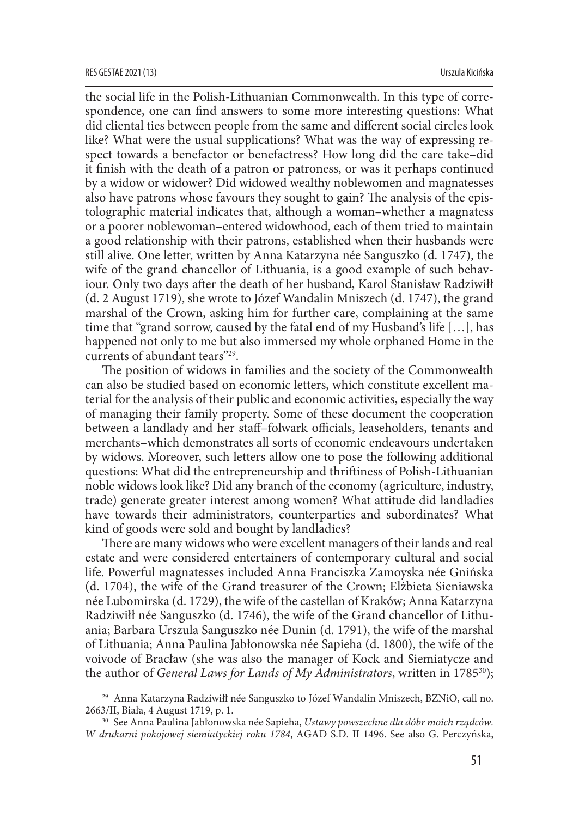#### RES GESTAE 2021 (13) Urszula Kicińska

the social life in the Polish-Lithuanian Commonwealth. In this type of correspondence, one can find answers to some more interesting questions: What did cliental ties between people from the same and different social circles look like? What were the usual supplications? What was the way of expressing respect towards a benefactor or benefactress? How long did the care take–did it finish with the death of a patron or patroness, or was it perhaps continued by a widow or widower? Did widowed wealthy noblewomen and magnatesses also have patrons whose favours they sought to gain? The analysis of the epistolographic material indicates that, although a woman–whether a magnatess or a poorer noblewoman–entered widowhood, each of them tried to maintain a good relationship with their patrons, established when their husbands were still alive. One letter, written by Anna Katarzyna née Sanguszko (d. 1747), the wife of the grand chancellor of Lithuania, is a good example of such behaviour. Only two days after the death of her husband, Karol Stanisław Radziwiłł (d. 2 August 1719), she wrote to Józef Wandalin Mniszech (d. 1747), the grand marshal of the Crown, asking him for further care, complaining at the same time that "grand sorrow, caused by the fatal end of my Husband's life […], has happened not only to me but also immersed my whole orphaned Home in the currents of abundant tears"29.

The position of widows in families and the society of the Commonwealth can also be studied based on economic letters, which constitute excellent material for the analysis of their public and economic activities, especially the way of managing their family property. Some of these document the cooperation between a landlady and her staff-folwark officials, leaseholders, tenants and merchants–which demonstrates all sorts of economic endeavours undertaken by widows. Moreover, such letters allow one to pose the following additional questions: What did the entrepreneurship and thriftiness of Polish-Lithuanian noble widows look like? Did any branch of the economy (agriculture, industry, trade) generate greater interest among women? What attitude did landladies have towards their administrators, counterparties and subordinates? What kind of goods were sold and bought by landladies?

There are many widows who were excellent managers of their lands and real estate and were considered entertainers of contemporary cultural and social life. Powerful magnatesses included Anna Franciszka Zamoyska née Gnińska (d. 1704), the wife of the Grand treasurer of the Crown; Elżbieta Sieniawska née Lubomirska (d. 1729), the wife of the castellan of Kraków; Anna Katarzyna Radziwiłł née Sanguszko (d. 1746), the wife of the Grand chancellor of Lithuania; Barbara Urszula Sanguszko née Dunin (d. 1791), the wife of the marshal of Lithuania; Anna Paulina Jabłonowska née Sapieha (d. 1800), the wife of the voivode of Bracław (she was also the manager of Kock and Siemiatycze and the author of *General Laws for Lands of My Administrators*, written in 1785<sup>30</sup>);

<sup>29</sup> Anna Katarzyna Radziwiłł née Sanguszko to Józef Wandalin Mniszech, BZNiO, call no. 2663/II, Biała, 4 August 1719, p. 1.

<sup>30</sup> See Anna Paulina Jabłonowska née Sapieha, *Ustawy powszechne dla dóbr moich rządców. W drukarni pokojowej siemiatyckiej roku 1784*, AGAD S.D. II 1496. See also G. Perczyńska,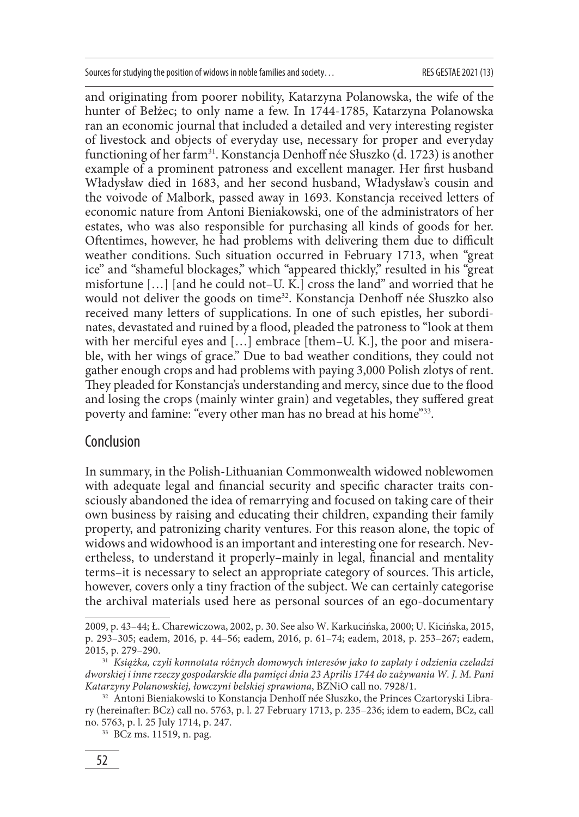and originating from poorer nobility, Katarzyna Polanowska, the wife of the hunter of Bełżec; to only name a few. In 1744-1785, Katarzyna Polanowska ran an economic journal that included a detailed and very interesting register of livestock and objects of everyday use, necessary for proper and everyday functioning of her farm<sup>31</sup>. Konstancja Denhoff née Słuszko (d. 1723) is another example of a prominent patroness and excellent manager. Her first husband Władysław died in 1683, and her second husband, Władysław's cousin and the voivode of Malbork, passed away in 1693. Konstancja received letters of economic nature from Antoni Bieniakowski, one of the administrators of her estates, who was also responsible for purchasing all kinds of goods for her. Oftentimes, however, he had problems with delivering them due to difficult weather conditions. Such situation occurred in February 1713, when "great ice" and "shameful blockages," which "appeared thickly," resulted in his "great misfortune […] [and he could not–U. K.] cross the land" and worried that he would not deliver the goods on time<sup>32</sup>. Konstancja Denhoff née Słuszko also received many letters of supplications. In one of such epistles, her subordinates, devastated and ruined by a flood, pleaded the patroness to "look at them with her merciful eyes and [...] embrace [them–U. K.], the poor and miserable, with her wings of grace." Due to bad weather conditions, they could not gather enough crops and had problems with paying 3,000 Polish zlotys of rent. They pleaded for Konstancia's understanding and mercy, since due to the flood and losing the crops (mainly winter grain) and vegetables, they suffered great poverty and famine: "every other man has no bread at his home"33.

# **Conclusion**

In summary, in the Polish-Lithuanian Commonwealth widowed noblewomen with adequate legal and financial security and specific character traits consciously abandoned the idea of remarrying and focused on taking care of their own business by raising and educating their children, expanding their family property, and patronizing charity ventures. For this reason alone, the topic of widows and widowhood is an important and interesting one for research. Nevertheless, to understand it properly–mainly in legal, financial and mentality terms–it is necessary to select an appropriate category of sources. This article, however, covers only a tiny fraction of the subject. We can certainly categorise the archival materials used here as personal sources of an ego-documentary

<sup>2009,</sup> p. 43–44; Ł. Charewiczowa, 2002, p. 30. See also W. Karkucińska, 2000; U. Kicińska, 2015, p. 293–305; eadem, 2016, p. 44–56; eadem, 2016, p. 61–74; eadem, 2018, p. 253–267; eadem, 2015, p. 279–290.

<sup>31</sup> *Książka, czyli konnotata różnych domowych interesów jako to zapłaty i odzienia czeladzi dworskiej i inne rzeczy gospodarskie dla pamięci dnia 23 Aprilis 1744 do zażywania W. J. M. Pani Katarzyny Polanowskiej, łowczyni bełskiej sprawiona*, BZNiO call no. 7928/1.

<sup>&</sup>lt;sup>32</sup> Antoni Bieniakowski to Konstancja Denhoff née Słuszko, the Princes Czartoryski Library (hereinafter: BCz) call no. 5763, p. l. 27 February 1713, p. 235–236; idem to eadem, BCz, call no. 5763, p. l. 25 July 1714, p. 247.

<sup>33</sup> BCz ms. 11519, n. pag.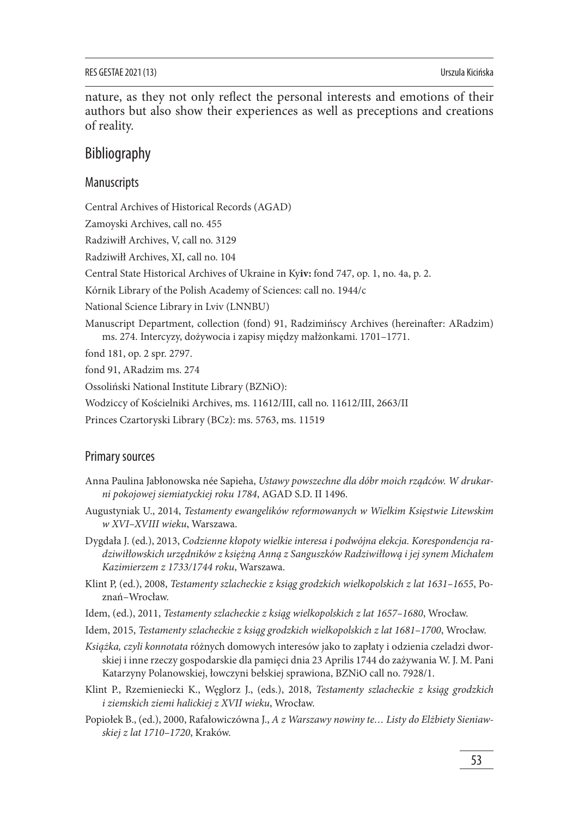nature, as they not only reflect the personal interests and emotions of their authors but also show their experiences as well as preceptions and creations of reality.

# Bibliography

### Manuscripts

Central Archives of Historical Records (AGAD)

Zamoyski Archives, call no. 455

Radziwiłł Archives, V, call no. 3129

Radziwiłł Archives, XI, call no. 104

Central State Historical Archives of Ukraine in Ky**iv:** fond 747, op. 1, no. 4a, p. 2.

Kórnik Library of the Polish Academy of Sciences: call no. 1944/c

National Science Library in Lviv (LNNBU)

Manuscript Department, collection (fond) 91, Radzimińscy Archives (hereinafter: ARadzim) ms. 274. Intercyzy, dożywocia i zapisy między małżonkami. 1701–1771.

fond 181, op. 2 spr. 2797.

fond 91, ARadzim ms. 274

Ossoliński National Institute Library (BZNiO):

Wodziccy of Kościelniki Archives, ms. 11612/III, call no. 11612/III, 2663/II

Princes Czartoryski Library (BCz): ms. 5763, ms. 11519

### Primary sources

- Anna Paulina Jabłonowska née Sapieha, *Ustawy powszechne dla dóbr moich rządców. W drukarni pokojowej siemiatyckiej roku 1784*, AGAD S.D. II 1496.
- Augustyniak U., 2014, *Testamenty ewangelików reformowanych w Wielkim Księstwie Litewskim w XVI–XVIII wieku*, Warszawa.
- Dygdała J. (ed.), 2013, *Codzienne kłopoty wielkie interesa i podwójna elekcja. Korespondencja radziwiłłowskich urzędników z księżną Anną z Sanguszków Radziwiłłową i jej synem Michałem Kazimierzem z 1733/1744 roku*, Warszawa.
- Klint P, (ed.), 2008, *Testamenty szlacheckie z ksiąg grodzkich wielkopolskich z lat 1631–1655*, Poznań–Wrocław.
- Idem, (ed.), 2011, *Testamenty szlacheckie z ksiąg wielkopolskich z lat 1657–1680*, Wrocław.
- Idem, 2015, *Testamenty szlacheckie z ksiąg grodzkich wielkopolskich z lat 1681–1700*, Wrocław.
- *Książka, czyli konnotata* różnych domowych interesów jako to zapłaty i odzienia czeladzi dworskiej i inne rzeczy gospodarskie dla pamięci dnia 23 Aprilis 1744 do zażywania W. J. M. Pani Katarzyny Polanowskiej, łowczyni bełskiej sprawiona, BZNiO call no. 7928/1.
- Klint P., Rzemieniecki K., Węglorz J., (eds.), 2018, *Testamenty szlacheckie z ksiąg grodzkich i ziemskich ziemi halickiej z XVII wieku*, Wrocław.
- Popiołek B., (ed.), 2000, Rafałowiczówna J., *A z Warszawy nowiny te… Listy do Elżbiety Sieniawskiej z lat 1710–1720*, Kraków.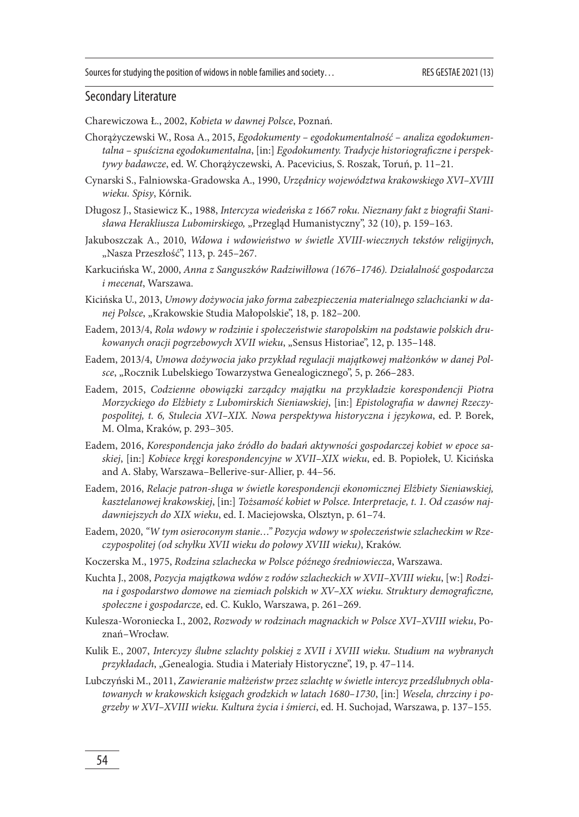### Secondary Literature

Charewiczowa Ł., 2002, *Kobieta w dawnej Polsce*, Poznań.

- Chorążyczewski W., Rosa A., 2015, *Egodokumenty egodokumentalność analiza egodokumen*talna – spuścizna egodokumentalna, [in:] Egodokumenty. Tradycje historiograficzne i perspek*tywy badawcze*, ed. W. Chorążyczewski, A. Pacevicius, S. Roszak, Toruń, p. 11–21.
- Cynarski S., Falniowska-Gradowska A., 1990, *Urzędnicy województwa krakowskiego XVI–XVIII wieku. Spisy*, Kórnik.
- Długosz J., Stasiewicz K., 1988, *Intercyza wiedeńska z 1667 roku. Nieznany fakt z biografi i Stanisława Herakliusza Lubomirskiego,* "Przegląd Humanistyczny", 32 (10), p. 159–163.
- Jakuboszczak A., 2010, *Wdowa i wdowieństwo w świetle XVIII-wiecznych tekstów religijnych*, "Nasza Przeszłość", 113, p. 245-267.
- Karkucińska W., 2000, *Anna z Sanguszków Radziwiłłowa (1676–1746). Działalność gospodarcza i mecenat*, Warszawa.
- Kicińska U., 2013, *Umowy dożywocia jako forma zabezpieczenia materialnego szlachcianki w danej Polsce*, "Krakowskie Studia Małopolskie", 18, p. 182–200.
- Eadem, 2013/4, *Rola wdowy w rodzinie i społeczeństwie staropolskim na podstawie polskich drukowanych oracji pogrzebowych XVII wieku*, "Sensus Historiae", 12, p. 135–148.
- Eadem, 2013/4, *Umowa dożywocia jako przykład regulacji majątkowej małżonków w danej Polsce*, "Rocznik Lubelskiego Towarzystwa Genealogicznego", 5, p. 266–283.
- Eadem, 2015, *Codzienne obowiązki zarządcy majątku na przykładzie korespondencji Piotra Morzyckiego do Elżbiety z Lubomirskich Sieniawskiej*, [in:] *Epistolografi a w dawnej Rzeczypospolitej, t. 6, Stulecia XVI–XIX. Nowa perspektywa historyczna i językowa*, ed. P. Borek, M. Olma, Kraków, p. 293–305.
- Eadem, 2016, *Korespondencja jako źródło do badań aktywności gospodarczej kobiet w epoce saskiej*, [in:] *Kobiece kręgi korespondencyjne w XVII–XIX wieku*, ed. B. Popiołek, U. Kicińska and A. Słaby, Warszawa–Bellerive-sur-Allier, p. 44–56.
- Eadem, 2016, *Relacje patron-sługa w świetle korespondencji ekonomicznej Elżbiety Sieniawskiej, kasztelanowej krakowskiej*, [in:] *Tożsamość kobiet w Polsce. Interpretacje, t. 1. Od czasów najdawniejszych do XIX wieku*, ed. I. Maciejowska, Olsztyn, p. 61–74.
- Eadem, 2020, *"W tym osieroconym stanie…" Pozycja wdowy w społeczeństwie szlacheckim w Rzeczypospolitej (od schyłku XVII wieku do połowy XVIII wieku)*, Kraków.
- Koczerska M., 1975, *Rodzina szlachecka w Polsce późnego średniowiecza*, Warszawa.
- Kuchta J., 2008, *Pozycja majątkowa wdów z rodów szlacheckich w XVII–XVIII wieku*, [w:] *Rodzi*na i gospodarstwo domowe na ziemiach polskich w XV–XX wieku. Struktury demograficzne, *społeczne i gospodarcze*, ed. C. Kuklo, Warszawa, p. 261–269.
- Kulesza-Woroniecka I., 2002, *Rozwody w rodzinach magnackich w Polsce XVI–XVIII wieku*, Poznań–Wrocław.
- Kulik E., 2007, *Intercyzy ślubne szlachty polskiej z XVII i XVIII wieku. Studium na wybranych przykładach*, "Genealogia. Studia i Materiały Historyczne", 19, p. 47–114.
- Lubczyński M., 2011, *Zawieranie małżeństw przez szlachtę w świetle intercyz przedślubnych oblatowanych w krakowskich księgach grodzkich w latach 1680–1730*, [in:] *Wesela, chrzciny i pogrzeby w XVI–XVIII wieku. Kultura życia i śmierci*, ed. H. Suchojad, Warszawa, p. 137–155.